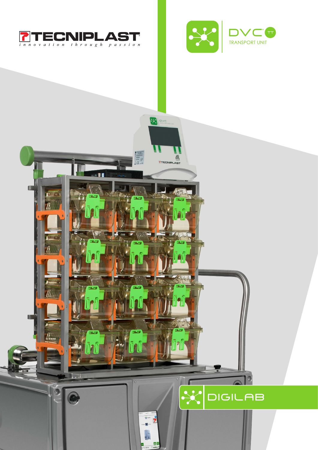